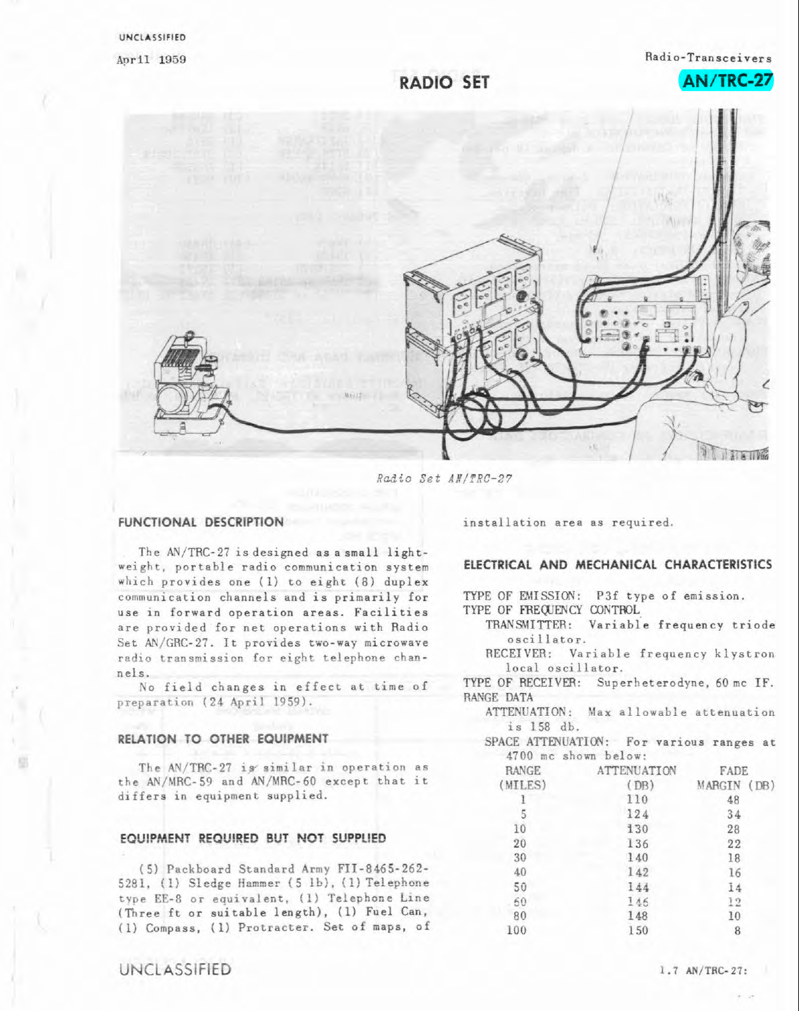**AN /TRC-27** 

## **RADIO SET**



*Rndto Set* **ANlTRC-27** 

The AN/TRC-27 is designed as a small lightweight, portable radio communication system which provides one (1) to eight (8) duplex communication channels and is primarily for **use** in forward operation **areas.** Facilities are provided for net operations with Radio Set AN/GRC-27. It provides two-way microwave radio transmission for eight telephone channels.

**No** field **changes** in effect st time of preparation (24 April 1959).

#### **RELATION TO OTHER EQUIPMENT**

The 4N/TRC-27 iy similar **in** operation **as**  the AN/MRC-59 and AN/MRC-60 except that it differs **in** equipment supplied.

### **EQUIPMENT REQUIRED BUT NOT SUPPLIED**

(5) Packboard Standard Army FII-8465-262- 5281, (1) Sledge Hammer (5 lb), (1) Telephone type EE-8 or equivalent. **(1)** Telephone Line **(Three** ft or suitable length), (1) Fuel **Can,**  (1) Compass, (1) Protraeter. Set of maps, of

UNCLASSIFIED **1.7 AN/TRC-27:** 

53

**FUNCTIONAL DESCRIPTION** installation **area as** required.

### **ELECTRICAL AND MECHANICAL CHARACTERISTICS**

TYPE OF EMISSION: P3f type of emission.

TYPE OF FREQUENCY CONTROL

- TRANSMITTER: variable frequency triode oscillator.
- RECEIVER: Variable **frequency** klystron local oscillator.

TYPE OF RECEIVER: Superheterodyne, 60 mc IF. RANGE DATA

- ATTENUATION: Max allowable attenuation is 158 db.
- SPACE ATTENUATION: For various ranges at 4700 mc shown below:

| RANGE   | <b>ATTENUATION</b> | FADE        |
|---------|--------------------|-------------|
| (MILES) | (DB)               | MARGIN (DB) |
|         | 110                | 48          |
| 5       | 124                | 34          |
| 10      | 130                | 28          |
| 20      | 136                | 22          |
| 30      | 140                | 18          |
| 40      | 142                | 16          |
| 50      | 144                | 14          |
| 60      | 146                | 12          |
| 80      | 148                | 10          |
| 100     | 150                | 8           |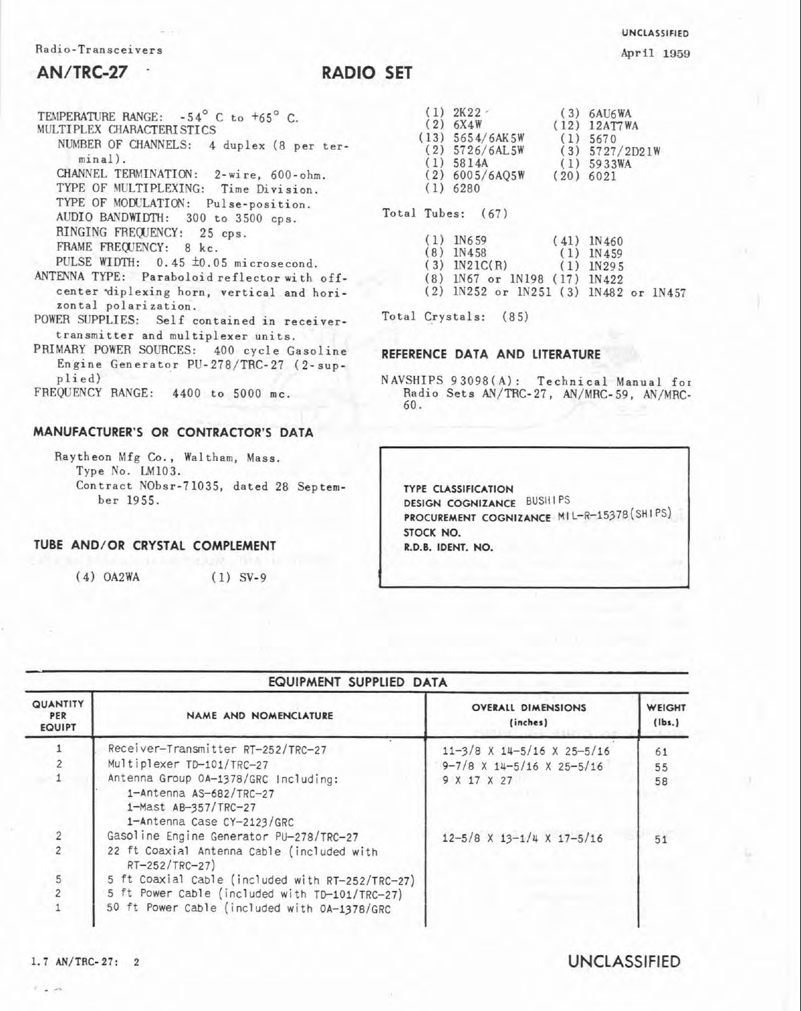### Radio-Transceivers

## **AN/TRC-27** .

# **RADIO SET**

- TEMPERATURE RANGE:  $-54^{\circ}$  C to  $+65^{\circ}$  C. MULTIPLEX CHARACTERISTICS NUMBER OF CHANNELS: 4 duplex **(8** per terminal). CHANNEL TERMINATION: 2-wire, 600-ohm. TYPE OF MULTIPLEXING: Time Division. TYPE OF MODULATION: Pulse-position. AUDIO BANDWIDTH: 300 to 3500 cps. RINGING FREQUENCY: 25 cps. FRAME FREQUENCY: 8 kc. PULSE WIDTH:  $0.45 \pm 0.05$  microsecond. ANTENNA TYPE: Paraboloid reflector with offcenter diplexing horn, vertical and horizontal polarization. POWER SUPPLIES: Self contained in receivertransmitter and multiplexer units.
- PRIMARY POWER SOURCES: 400 cycle Gasoline Engine Generator PU-278/TRC-27 (2-supplied)

FREQUENCY RANGE: 4400 to 5000 mc.

#### **MANUFACTURER'S OR CONTRACTOR'S DATA**

Raytheon Mfg Co., Waltham, Mass. Type No. LM103. Contract NObsr-71035, dated 28 September 1955.

## **TUBE AND/OR CRYSTAL COMPLEMENT**

(4) OA2WA (1) SV-9

|              |     | 2K22              | (3) | 6AU6WA           |  |
|--------------|-----|-------------------|-----|------------------|--|
|              |     | (2) 6X4W          |     | $(12)$ 12AT7WA   |  |
|              |     | $(13)$ 5654/6AK5W | (1) | 5670             |  |
|              |     | $(2)$ 5726/6AL5W  |     | $(3)$ 5727/2D21W |  |
|              |     | $(1)$ 5814A       | (1) | 5933WA           |  |
|              |     | $(2)$ 6005/6A05W  |     | $(20)$ 6021      |  |
|              | (1) | 6280              |     |                  |  |
| Total Tubes: |     | (67)              |     |                  |  |
|              |     | <b>BBC</b> 2 MA   |     |                  |  |

|  | $(1)$ 110.92                          | $(41)$ $11400$ |  |
|--|---------------------------------------|----------------|--|
|  | $(8)$ 1N458                           | $(1)$ $1N459$  |  |
|  | $(3)$ $1N21C(R)$ $(1)$ $1N295$        |                |  |
|  | (8) IN67 or 1N198 (17) 1N422          |                |  |
|  | (2) IN252 or IN251 (3) IN482 or 1N457 |                |  |
|  |                                       |                |  |

Total Crystals: (85)

#### **REFERENCE DATA AND LITERATURE**

NAVSHIPS 93098(A): Technical Manual for Radio Sets AN/TRC-27, AN/MRC-59. AN/MRC-60.

**TYPE CLASSIFICATION DESIGN COGNIZANCE BUSHIPS PROCUREMENT COGNIZANCE MIL-R-15378 (SHIPS) STOCK NO. R.D.B. IDENT. NO.** 

| EQUIPMENT SUPPLIED DATA                 |                                                                                                                       |                                       |                  |  |
|-----------------------------------------|-----------------------------------------------------------------------------------------------------------------------|---------------------------------------|------------------|--|
| <b>QUANTITY</b><br>PER<br><b>EQUIPT</b> | NAME AND NOMENCLATURE                                                                                                 | <b>OVERALL DIMENSIONS</b><br>(inches) | WEIGHT<br>(lbs.) |  |
|                                         | Receiver-Transmitter RT-252/TRC-27                                                                                    | $11-3/8$ X $14-5/16$ X $25-5/16$      | 61               |  |
|                                         | Multiplexer TD-101/TRC-27                                                                                             | $9-7/8$ X 14-5/16 X 25-5/16           | 55               |  |
|                                         | Antenna Group 0A-1378/GRC Including:<br>1-Antenna AS-682/TRC-27<br>1-Mast AB-357/TRC-27<br>1-Antenna Case CY-2123/GRC | 9 X 17 X 27                           | 58               |  |
| $\frac{2}{2}$                           | Gasoline Engine Generator PU-278/TRC-27                                                                               | $12-5/8$ X $13-1/4$ X $17-5/16$       | 51               |  |
|                                         | 22 ft Coaxial Antenna Cable (included with<br>RT-252/TRC-27)                                                          |                                       |                  |  |
| 5                                       | 5 ft Coaxial Cable (included with RT-252/TRC-27)                                                                      |                                       |                  |  |
|                                         | 5 ft Power Cable (included with TD-101/TRC-27)                                                                        |                                       |                  |  |
|                                         | 50 ft Power Cable (included with 0A-1378/GRC                                                                          |                                       |                  |  |

 $\mathcal{C}$  , and

## **1.7 AN/TRC-27: 2 UNCLASSIFIED**

**UNCLASSIFIED** 

**April 1959**